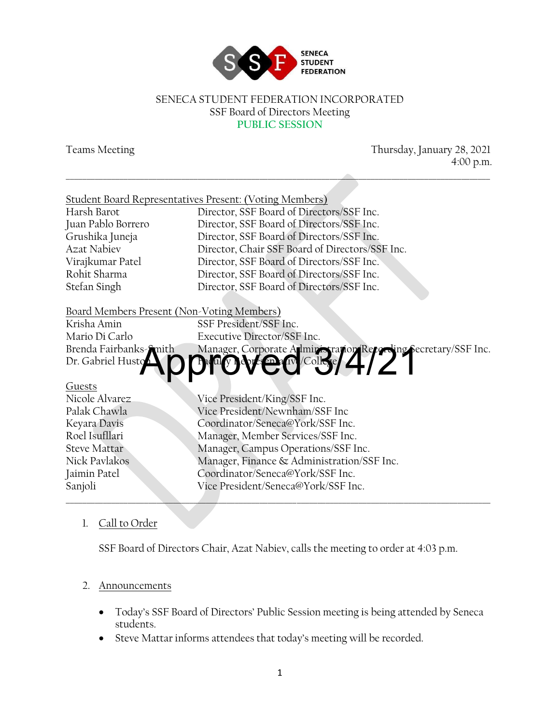

#### SENECA STUDENT FEDERATION INCORPORATED SSF Board of Directors Meeting **PUBLIC SESSION**

Teams Meeting Thursday, January 28, 2021 4:00 p.m.

| <b>Student Board Representatives Present: (Voting Members)</b><br>Director, SSF Board of Directors/SSF Inc.<br>Harsh Barot<br>Director, SSF Board of Directors/SSF Inc.<br>Juan Pablo Borrero<br>Grushika Juneja<br>Director, SSF Board of Directors/SSF Inc.<br><b>Azat Nabiev</b><br>Director, Chair SSF Board of Directors/SSF Inc.<br>Director, SSF Board of Directors/SSF Inc.<br>Virajkumar Patel<br>Rohit Sharma<br>Director, SSF Board of Directors/SSF Inc.<br>Stefan Singh<br>Director, SSF Board of Directors/SSF Inc.<br>Board Members Present (Non-Voting Members)<br>SSF President/SSF Inc.<br>Krisha Amin<br>Mario Di Carlo<br>Executive Director/SSF Inc.<br>Brenda Fairbanks-Smith<br>Manager, Corporate Alministration Recording Secretary/SSF Inc.<br>Dr. Gabriel Husto<br>Guests<br>Nicole Alvarez<br>Vice President/King/SSF Inc.<br>Vice President/Newnham/SSF Inc<br>Palak Chawla<br>Coordinator/Seneca@York/SSF Inc.<br>Keyara Davis<br>Roel Isufllari<br>Manager, Member Services/SSF Inc.<br>Manager, Campus Operations/SSF Inc.<br><b>Steve Mattar</b><br>Nick Paylakos<br>Manager, Finance & Administration/SSF Inc.<br>Coordinator/Seneca@York/SSF Inc.<br>Jaimin Patel |         |                                     |  |
|------------------------------------------------------------------------------------------------------------------------------------------------------------------------------------------------------------------------------------------------------------------------------------------------------------------------------------------------------------------------------------------------------------------------------------------------------------------------------------------------------------------------------------------------------------------------------------------------------------------------------------------------------------------------------------------------------------------------------------------------------------------------------------------------------------------------------------------------------------------------------------------------------------------------------------------------------------------------------------------------------------------------------------------------------------------------------------------------------------------------------------------------------------------------------------------------------|---------|-------------------------------------|--|
|                                                                                                                                                                                                                                                                                                                                                                                                                                                                                                                                                                                                                                                                                                                                                                                                                                                                                                                                                                                                                                                                                                                                                                                                      |         |                                     |  |
|                                                                                                                                                                                                                                                                                                                                                                                                                                                                                                                                                                                                                                                                                                                                                                                                                                                                                                                                                                                                                                                                                                                                                                                                      |         |                                     |  |
|                                                                                                                                                                                                                                                                                                                                                                                                                                                                                                                                                                                                                                                                                                                                                                                                                                                                                                                                                                                                                                                                                                                                                                                                      |         |                                     |  |
|                                                                                                                                                                                                                                                                                                                                                                                                                                                                                                                                                                                                                                                                                                                                                                                                                                                                                                                                                                                                                                                                                                                                                                                                      |         |                                     |  |
|                                                                                                                                                                                                                                                                                                                                                                                                                                                                                                                                                                                                                                                                                                                                                                                                                                                                                                                                                                                                                                                                                                                                                                                                      |         |                                     |  |
|                                                                                                                                                                                                                                                                                                                                                                                                                                                                                                                                                                                                                                                                                                                                                                                                                                                                                                                                                                                                                                                                                                                                                                                                      |         |                                     |  |
|                                                                                                                                                                                                                                                                                                                                                                                                                                                                                                                                                                                                                                                                                                                                                                                                                                                                                                                                                                                                                                                                                                                                                                                                      |         |                                     |  |
|                                                                                                                                                                                                                                                                                                                                                                                                                                                                                                                                                                                                                                                                                                                                                                                                                                                                                                                                                                                                                                                                                                                                                                                                      |         |                                     |  |
|                                                                                                                                                                                                                                                                                                                                                                                                                                                                                                                                                                                                                                                                                                                                                                                                                                                                                                                                                                                                                                                                                                                                                                                                      |         |                                     |  |
|                                                                                                                                                                                                                                                                                                                                                                                                                                                                                                                                                                                                                                                                                                                                                                                                                                                                                                                                                                                                                                                                                                                                                                                                      |         |                                     |  |
|                                                                                                                                                                                                                                                                                                                                                                                                                                                                                                                                                                                                                                                                                                                                                                                                                                                                                                                                                                                                                                                                                                                                                                                                      |         |                                     |  |
|                                                                                                                                                                                                                                                                                                                                                                                                                                                                                                                                                                                                                                                                                                                                                                                                                                                                                                                                                                                                                                                                                                                                                                                                      |         |                                     |  |
|                                                                                                                                                                                                                                                                                                                                                                                                                                                                                                                                                                                                                                                                                                                                                                                                                                                                                                                                                                                                                                                                                                                                                                                                      |         |                                     |  |
|                                                                                                                                                                                                                                                                                                                                                                                                                                                                                                                                                                                                                                                                                                                                                                                                                                                                                                                                                                                                                                                                                                                                                                                                      |         |                                     |  |
|                                                                                                                                                                                                                                                                                                                                                                                                                                                                                                                                                                                                                                                                                                                                                                                                                                                                                                                                                                                                                                                                                                                                                                                                      |         |                                     |  |
|                                                                                                                                                                                                                                                                                                                                                                                                                                                                                                                                                                                                                                                                                                                                                                                                                                                                                                                                                                                                                                                                                                                                                                                                      |         |                                     |  |
|                                                                                                                                                                                                                                                                                                                                                                                                                                                                                                                                                                                                                                                                                                                                                                                                                                                                                                                                                                                                                                                                                                                                                                                                      |         |                                     |  |
|                                                                                                                                                                                                                                                                                                                                                                                                                                                                                                                                                                                                                                                                                                                                                                                                                                                                                                                                                                                                                                                                                                                                                                                                      |         |                                     |  |
|                                                                                                                                                                                                                                                                                                                                                                                                                                                                                                                                                                                                                                                                                                                                                                                                                                                                                                                                                                                                                                                                                                                                                                                                      |         |                                     |  |
|                                                                                                                                                                                                                                                                                                                                                                                                                                                                                                                                                                                                                                                                                                                                                                                                                                                                                                                                                                                                                                                                                                                                                                                                      |         |                                     |  |
|                                                                                                                                                                                                                                                                                                                                                                                                                                                                                                                                                                                                                                                                                                                                                                                                                                                                                                                                                                                                                                                                                                                                                                                                      |         |                                     |  |
|                                                                                                                                                                                                                                                                                                                                                                                                                                                                                                                                                                                                                                                                                                                                                                                                                                                                                                                                                                                                                                                                                                                                                                                                      | Sanjoli | Vice President/Seneca@York/SSF Inc. |  |

## 1. Call to Order

SSF Board of Directors Chair, Azat Nabiev, calls the meeting to order at 4:03 p.m.

#### 2. Announcements

- Today's SSF Board of Directors' Public Session meeting is being attended by Seneca students.
- Steve Mattar informs attendees that today's meeting will be recorded.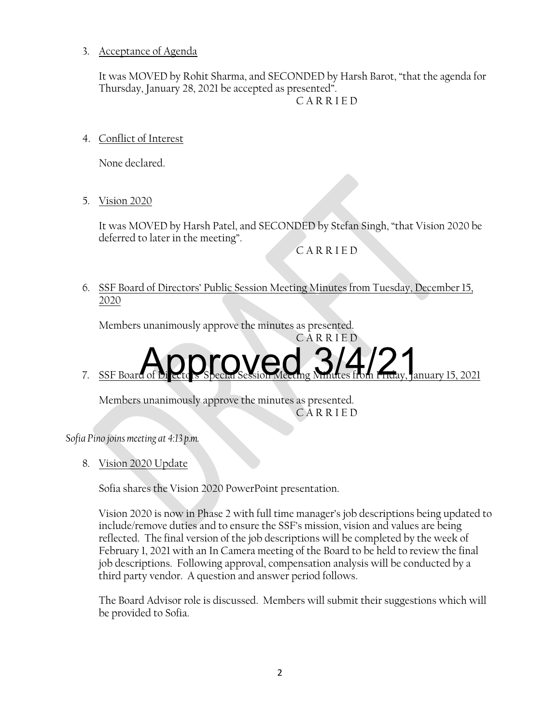3. Acceptance of Agenda

It was MOVED by Rohit Sharma, and SECONDED by Harsh Barot, "that the agenda for Thursday, January 28, 2021 be accepted as presented".

C A R R I E D

4. Conflict of Interest

None declared.

5. Vision 2020

It was MOVED by Harsh Patel, and SECONDED by Stefan Singh, "that Vision 2020 be deferred to later in the meeting".

C A R R I E D

6. SSF Board of Directors' Public Session Meeting Minutes from Tuesday, December 15, 2020

Members unanimously approve the minutes as presented.

C A R R I E D 7. SSF Board of Directors' Special Session Meeting Minutes from Friday, January 15, 2021 Approved 3/4/21

Members unanimously approve the minutes as presented. C A R R I E D

*Sofia Pino joins meeting at 4:13 p.m.*

8. Vision 2020 Update

Sofia shares the Vision 2020 PowerPoint presentation.

Vision 2020 is now in Phase 2 with full time manager's job descriptions being updated to include/remove duties and to ensure the SSF's mission, vision and values are being reflected. The final version of the job descriptions will be completed by the week of February 1, 2021 with an In Camera meeting of the Board to be held to review the final job descriptions. Following approval, compensation analysis will be conducted by a third party vendor. A question and answer period follows.

The Board Advisor role is discussed. Members will submit their suggestions which will be provided to Sofia.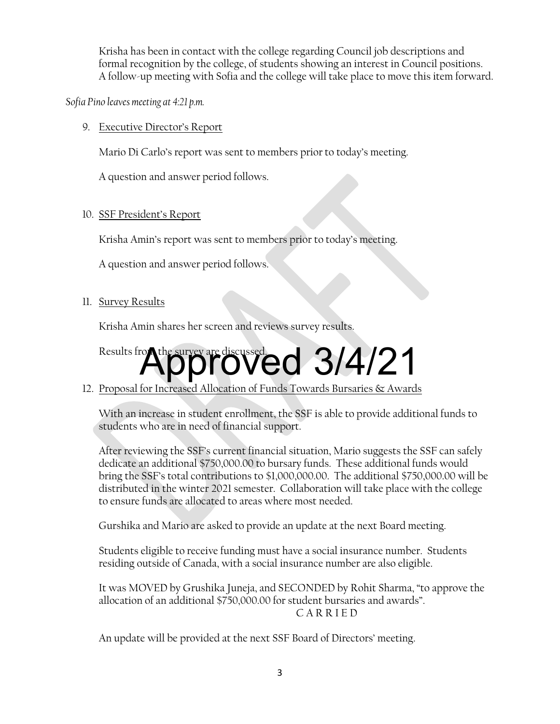Krisha has been in contact with the college regarding Council job descriptions and formal recognition by the college, of students showing an interest in Council positions. A follow-up meeting with Sofia and the college will take place to move this item forward.

*Sofia Pino leaves meeting at 4:21 p.m.*

9. Executive Director's Report

Mario Di Carlo's report was sent to members prior to today's meeting.

A question and answer period follows.

#### 10. SSF President's Report

Krisha Amin's report was sent to members prior to today's meeting.

A question and answer period follows.

11. Survey Results

Krisha Amin shares her screen and reviews survey results.

# Results from the survey are discussed. 3/4/21

### 12. Proposal for Increased Allocation of Funds Towards Bursaries & Awards

With an increase in student enrollment, the SSF is able to provide additional funds to students who are in need of financial support.

After reviewing the SSF's current financial situation, Mario suggests the SSF can safely dedicate an additional \$750,000.00 to bursary funds. These additional funds would bring the SSF's total contributions to \$1,000,000.00. The additional \$750,000.00 will be distributed in the winter 2021 semester. Collaboration will take place with the college to ensure funds are allocated to areas where most needed.

Gurshika and Mario are asked to provide an update at the next Board meeting.

Students eligible to receive funding must have a social insurance number. Students residing outside of Canada, with a social insurance number are also eligible.

It was MOVED by Grushika Juneja, and SECONDED by Rohit Sharma, "to approve the allocation of an additional \$750,000.00 for student bursaries and awards". C A R R I E D

An update will be provided at the next SSF Board of Directors' meeting.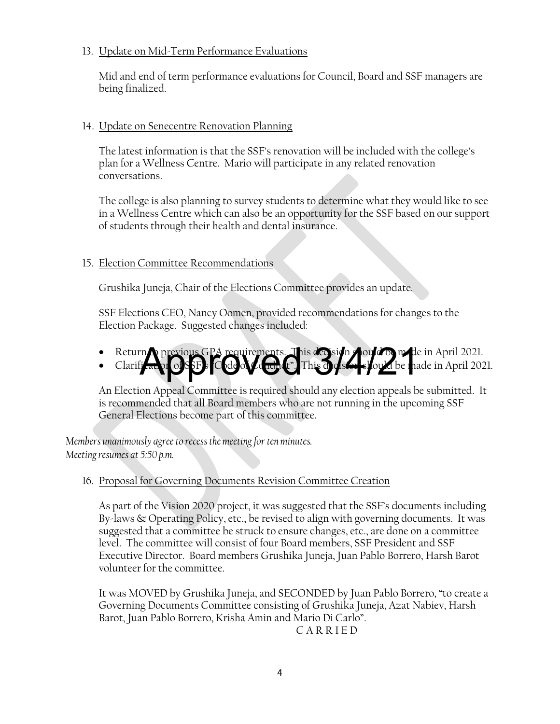#### 13. Update on Mid-Term Performance Evaluations

Mid and end of term performance evaluations for Council, Board and SSF managers are being finalized.

#### 14. Update on Senecentre Renovation Planning

The latest information is that the SSF's renovation will be included with the college's plan for a Wellness Centre. Mario will participate in any related renovation conversations.

The college is also planning to survey students to determine what they would like to see in a Wellness Centre which can also be an opportunity for the SSF based on our support of students through their health and dental insurance.

#### 15. Election Committee Recommendations

Grushika Juneja, Chair of the Elections Committee provides an update.

SSF Elections CEO, Nancy Oomen, provided recommendations for changes to the Election Package. Suggested changes included:

- Return to previous GPA requirements. This decision should be made in April 2021.
- Clarification of SSF's  $\mathsf{C}$  de of  $\mathcal{L}$  and  $\mathsf{C}$ . This decision should be made in April 2021. m previous GPA requirements. This design doubt of method

An Election Appeal Committee is required should any election appeals be submitted. It is recommended that all Board members who are not running in the upcoming SSF General Elections become part of this committee.

*Members unanimously agree to recess the meeting for ten minutes. Meeting resumes at 5:50 p.m.*

#### 16. Proposal for Governing Documents Revision Committee Creation

As part of the Vision 2020 project, it was suggested that the SSF's documents including By-laws & Operating Policy, etc., be revised to align with governing documents. It was suggested that a committee be struck to ensure changes, etc., are done on a committee level. The committee will consist of four Board members, SSF President and SSF Executive Director. Board members Grushika Juneja, Juan Pablo Borrero, Harsh Barot volunteer for the committee.

It was MOVED by Grushika Juneja, and SECONDED by Juan Pablo Borrero, "to create a Governing Documents Committee consisting of Grushika Juneja, Azat Nabiev, Harsh Barot, Juan Pablo Borrero, Krisha Amin and Mario Di Carlo".

C A R R I E D